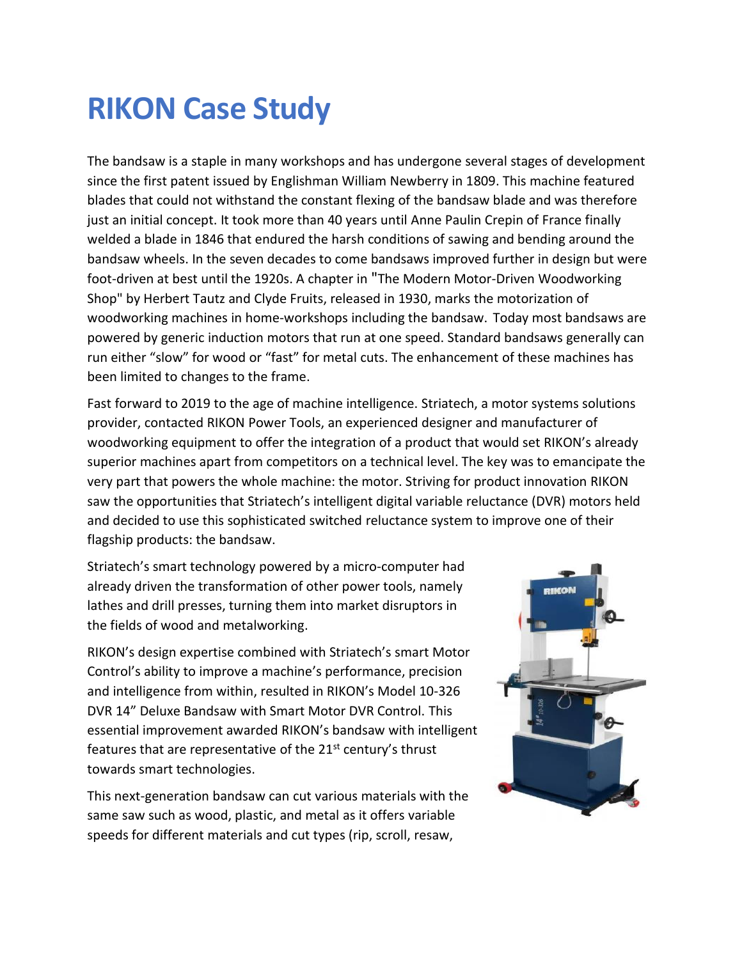## **RIKON Case Study**

The bandsaw is a staple in many workshops and has undergone several stages of development since the first patent issued by Englishman William Newberry in 1809. This machine featured blades that could not withstand the constant flexing of the bandsaw blade and was therefore just an initial concept. It took more than 40 years until Anne Paulin Crepin of France finally welded a blade in 1846 that endured the harsh conditions of sawing and bending around the bandsaw wheels. In the seven decades to come bandsaws improved further in design but were foot-driven at best until the 1920s. A chapter in "The Modern Motor-Driven Woodworking Shop" by Herbert Tautz and Clyde Fruits, released in 1930, marks the motorization of woodworking machines in home-workshops including the bandsaw. Today most bandsaws are powered by generic induction motors that run at one speed. Standard bandsaws generally can run either "slow" for wood or "fast" for metal cuts. The enhancement of these machines has been limited to changes to the frame.

Fast forward to 2019 to the age of machine intelligence. Striatech, a motor systems solutions provider, contacted RIKON Power Tools, an experienced designer and manufacturer of woodworking equipment to offer the integration of a product that would set RIKON's already superior machines apart from competitors on a technical level. The key was to emancipate the very part that powers the whole machine: the motor. Striving for product innovation RIKON saw the opportunities that Striatech's intelligent digital variable reluctance (DVR) motors held and decided to use this sophisticated switched reluctance system to improve one of their flagship products: the bandsaw.

Striatech's smart technology powered by a micro-computer had already driven the transformation of other power tools, namely lathes and drill presses, turning them into market disruptors in the fields of wood and metalworking.

RIKON's design expertise combined with Striatech's smart Motor Control's ability to improve a machine's performance, precision and intelligence from within, resulted in RIKON's Model 10-326 DVR 14" Deluxe Bandsaw with Smart Motor DVR Control. This essential improvement awarded RIKON's bandsaw with intelligent features that are representative of the 21<sup>st</sup> century's thrust towards smart technologies.

This next-generation bandsaw can cut various materials with the same saw such as wood, plastic, and metal as it offers variable speeds for different materials and cut types (rip, scroll, resaw,